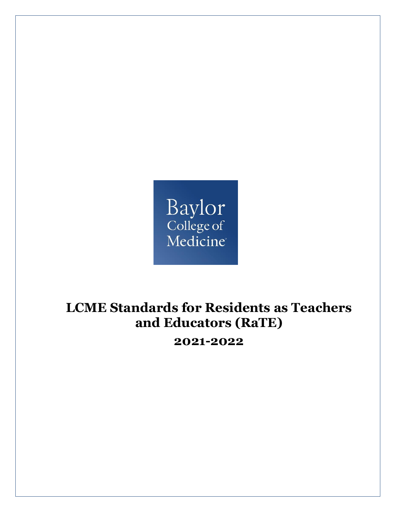

# **LCME Standards for Residents as Teachers and Educators (RaTE)**

**2021-2022**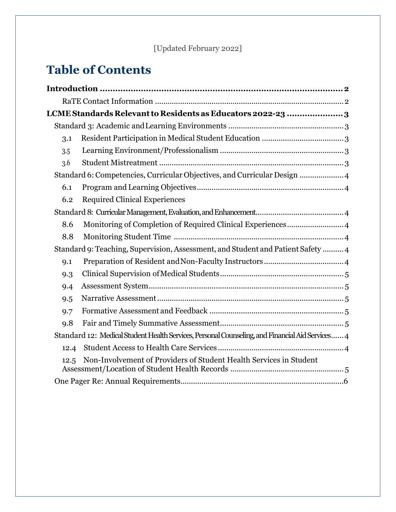## [Updated February 2022]

# **Table of Contents**

|                                                                                                 | LCME Standards Relevant to Residents as Educators 2022-23 3        |  |
|-------------------------------------------------------------------------------------------------|--------------------------------------------------------------------|--|
|                                                                                                 |                                                                    |  |
| 3.1                                                                                             |                                                                    |  |
| 3.5                                                                                             |                                                                    |  |
| 3.6                                                                                             |                                                                    |  |
| Standard 6: Competencies, Curricular Objectives, and Curricular Design  4                       |                                                                    |  |
| 6.1                                                                                             |                                                                    |  |
| 6.2                                                                                             | <b>Required Clinical Experiences</b>                               |  |
|                                                                                                 |                                                                    |  |
| 8.6                                                                                             | Monitoring of Completion of Required Clinical Experiences 4        |  |
| 8.8                                                                                             |                                                                    |  |
| Standard 9: Teaching, Supervision, Assessment, and Student and Patient Safety  4                |                                                                    |  |
| 9.1                                                                                             |                                                                    |  |
| 9.3                                                                                             |                                                                    |  |
| 9.4                                                                                             |                                                                    |  |
| 9.5                                                                                             |                                                                    |  |
| 9.7                                                                                             |                                                                    |  |
| 9.8                                                                                             |                                                                    |  |
| Standard 12: Medical Student Health Services, Personal Counseling, and Financial Aid Services 4 |                                                                    |  |
| 12.4                                                                                            |                                                                    |  |
| 12.5                                                                                            | Non-Involvement of Providers of Student Health Services in Student |  |
|                                                                                                 |                                                                    |  |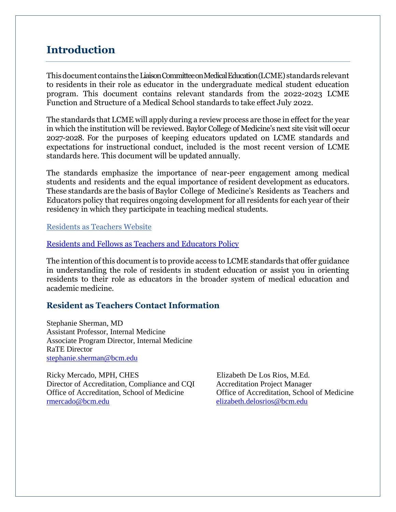## <span id="page-2-0"></span>**Introduction**

Thisdocument contains theLiaison Committee on Medical Education (LCME) standards relevant to residents in their role as educator in the undergraduate medical student education program. This document contains relevant standards from the 2022-2023 LCME Function and Structure of a Medical School standards to take effect July 2022.

The standards that LCME will apply during a review process are those in effect for the year in which the institution will be reviewed. Baylor College of Medicine's next site visit will occur 2027-2028. For the purposes of keeping educators updated on LCME standards and expectations for instructional conduct, included is the most recent version of LCME standards here. This document will be updated annually.

The standards emphasize the importance of near-peer engagement among medical students and residents and the equal importance of resident development as educators. These standards are the basis of Baylor College of Medicine's Residents as Teachers and Educators policy that requires ongoing development for all residents for each year of their residency in which they participate in teaching medical students.

[Residents as Teachers Website](https://www.bcm.edu/education/schools/medical-school/graduate-medical-education/teaching-residents-to-teach)

[Residents and Fellows as Teachers and Educators Policy](https://intranet.bcm.edu/index.cfm?fuseaction=Policies.Display_Policy&Policy_Number=28.1.07)

The intention of this document is to provide access to LCME standards that offer guidance in understanding the role of residents in student education or assist you in orienting residents to their role as educators in the broader system of medical education and academic medicine.

#### <span id="page-2-1"></span>**Resident as Teachers Contact Information**

Stephanie Sherman, MD Assistant Professor, Internal Medicine Associate Program Director, Internal Medicine RaTE Director [stephanie.sherman@bcm.edu](mailto:stephanie.sherman@bcm.edu)

Ricky Mercado, MPH, CHES Elizabeth De Los Rios, M.Ed. Director of Accreditation, Compliance and CQI Accreditation Project Manager Office of Accreditation, School of Medicine Office of Accreditation, School of Medicine [rmercado@bcm.edu](mailto:rmercado@bcm.edu) [elizabeth.delosrios@bcm.edu](mailto:elizabeth.delosrios@bcm.edu)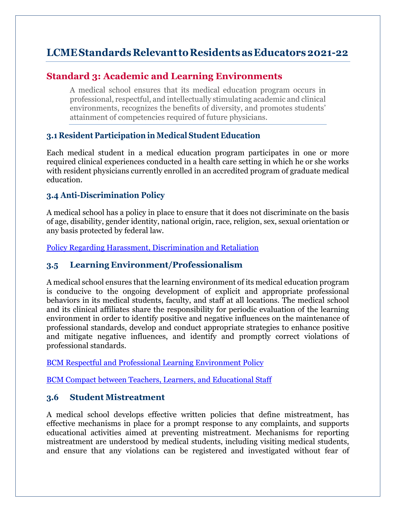## <span id="page-3-0"></span>**LCMEStandardsRelevanttoResidentsasEducators2021-22**

### <span id="page-3-1"></span>**Standard 3: Academic and Learning Environments**

A medical school ensures that its medical education program occurs in professional, respectful, and intellectually stimulating academic and clinical environments, recognizes the benefits of diversity, and promotes students' attainment of competencies required of future physicians.

#### <span id="page-3-2"></span>**3.1 Resident Participation in Medical Student Education**

Each medical student in a medical education program participates in one or more required clinical experiences conducted in a health care setting in which he or she works with resident physicians currently enrolled in an accredited program of graduate medical education.

#### **3.4 Anti-Discrimination Policy**

A medical school has a policy in place to ensure that it does not discriminate on the basis of age, disability, gender identity, national origin, race, religion, sex, sexual orientation or any basis protected by federal law.

[Policy Regarding Harassment, Discrimination and Retaliation](https://intranet.bcm.edu/index.cfm?fuseaction=Policies.Display_Policy&Policy_Number=02.2.25)

#### <span id="page-3-3"></span>**3.5 Learning Environment/Professionalism**

A medical school ensures that the learning environment of its medical education program is conducive to the ongoing development of explicit and appropriate professional behaviors in its medical students, faculty, and staff at all locations. The medical school and its clinical affiliates share the responsibility for periodic evaluation of the learning environment in order to identify positive and negative influences on the maintenance of professional standards, develop and conduct appropriate strategies to enhance positive and mitigate negative influences, and identify and promptly correct violations of professional standards.

[BCM Respectful and Professional Learning Environment Policy](https://intranet.bcm.edu/index.cfm?fuseaction=Policies.Display_Policy&Policy_Number=23.2.01)

BCM Compact between [Teachers, Learners, and Educational Staff](https://www.bcm.edu/education/academic-faculty-affairs/academic-policies/compact)

#### <span id="page-3-4"></span>**3.6 Student Mistreatment**

A medical school develops effective written policies that define mistreatment, has effective mechanisms in place for a prompt response to any complaints, and supports educational activities aimed at preventing mistreatment. Mechanisms for reporting mistreatment are understood by medical students, including visiting medical students, and ensure that any violations can be registered and investigated without fear of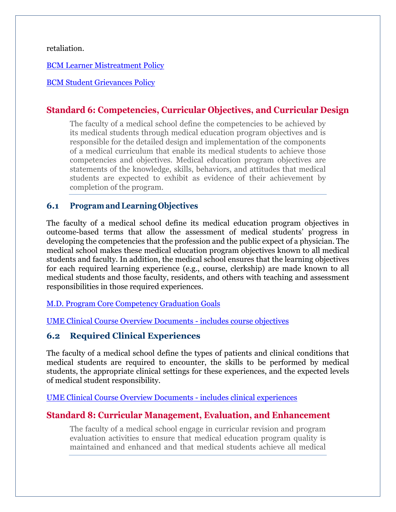retaliation.

[BCM Learner Mistreatment Policy](https://intranet.bcm.edu/index.cfm?fuseaction=Policies.Display_Policy&Policy_Number=23.2.02)

[BCM Student Grievances Policy](https://media.bcm.edu/documents/2018/9b/23.1.08-student-appeals--grievances-policy-web2018.pdf)

## <span id="page-4-0"></span>**Standard 6: Competencies, Curricular Objectives, and Curricular Design**

The faculty of a medical school define the competencies to be achieved by its medical students through medical education program objectives and is responsible for the detailed design and implementation of the components of a medical curriculum that enable its medical students to achieve those competencies and objectives. Medical education program objectives are statements of the knowledge, skills, behaviors, and attitudes that medical students are expected to exhibit as evidence of their achievement by completion of the program.

#### <span id="page-4-1"></span>**6.1 Program andLearning Objectives**

The faculty of a medical school define its medical education program objectives in outcome-based terms that allow the assessment of medical students' progress in developing the competencies that the profession and the public expect of a physician. The medical school makes these medical education program objectives known to all medical students and faculty. In addition, the medical school ensures that the learning objectives for each required learning experience (e.g., course, clerkship) are made known to all medical students and those faculty, residents, and others with teaching and assessment responsibilities in those required experiences.

[M.D. Program Core Competency Graduation Goals](https://www.bcm.edu/education/schools/medical-school/md-program/student-handbook/academic-program/requirements-for-degree-doctor-of-medicine)

[UME Clinical Course Overview Documents -](https://www.bcm.edu/education/schools/medical-school/graduate-medical-education/teaching-residents-to-teach/rat-medstudclinicalcurric) includes course objectives

#### **6.2 Required Clinical Experiences**

The faculty of a medical school define the types of patients and clinical conditions that medical students are required to encounter, the skills to be performed by medical students, the appropriate clinical settings for these experiences, and the expected levels of medical student responsibility.

[UME Clinical Course Overview Documents -](https://www.bcm.edu/education/schools/medical-school/graduate-medical-education/teaching-residents-to-teach/rat-medstudclinicalcurric) includes clinical experiences

## **Standard 8: Curricular Management, Evaluation, and Enhancement**

The faculty of a medical school engage in curricular revision and program evaluation activities to ensure that medical education program quality is maintained and enhanced and that medical students achieve all medical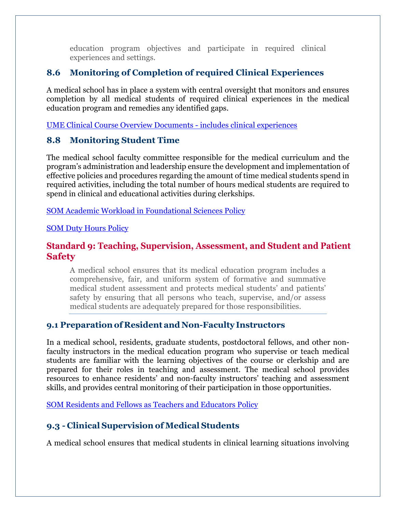education program objectives and participate in required clinical experiences and settings.

### **8.6 Monitoring of Completion of required Clinical Experiences**

A medical school has in place a system with central oversight that monitors and ensures completion by all medical students of required clinical experiences in the medical education program and remedies any identified gaps.

[UME Clinical Course Overview Documents -](https://www.bcm.edu/education/schools/medical-school/graduate-medical-education/teaching-residents-to-teach/rat-medstudclinicalcurric) includes clinical experiences

#### **8.8 Monitoring Student Time**

The medical school faculty committee responsible for the medical curriculum and the program's administration and leadership ensure the development and implementation of effective policies and procedures regarding the amount of time medical students spend in required activities, including the total number of hours medical students are required to spend in clinical and educational activities during clerkships.

[SOM Academic Workload in Foundational Sciences Policy](https://intranet.bcm.edu/index.cfm?fuseaction=Policies.Display_Policy&Policy_Number=28.1.09)

#### [SOM Duty Hours Policy](https://intranet.bcm.edu/index.cfm?fuseaction=Policies.Display_Policy&Policy_Number=28.1.04)

## <span id="page-5-0"></span>**Standard 9: Teaching, Supervision, Assessment, and Student and Patient Safety**

A medical school ensures that its medical education program includes a comprehensive, fair, and uniform system of formative and summative medical student assessment and protects medical students' and patients' safety by ensuring that all persons who teach, supervise, and/or assess medical students are adequately prepared for those responsibilities.

## <span id="page-5-1"></span>**9.1 PreparationofResident and Non-Faculty Instructors**

In a medical school, residents, graduate students, postdoctoral fellows, and other nonfaculty instructors in the medical education program who supervise or teach medical students are familiar with the learning objectives of the course or clerkship and are prepared for their roles in teaching and assessment. The medical school provides resources to enhance residents' and non-faculty instructors' teaching and assessment skills, and provides central monitoring of their participation in those opportunities.

[SOM Residents and Fellows as Teachers and Educators Policy](https://intranet.bcm.edu/index.cfm?fuseaction=Policies.Display_Policy&Policy_Number=28.1.07)

## <span id="page-5-2"></span>**9.3 - Clinical Supervision of Medical Students**

A medical school ensures that medical students in clinical learning situations involving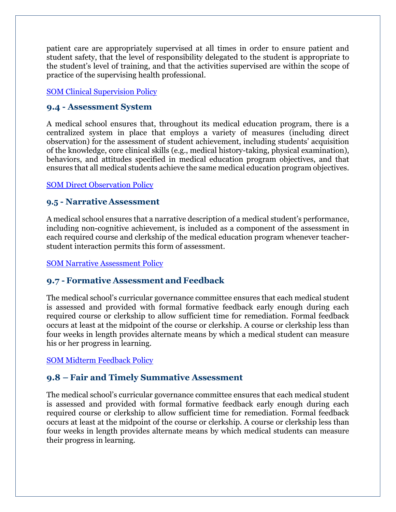patient care are appropriately supervised at all times in order to ensure patient and student safety, that the level of responsibility delegated to the student is appropriate to the student's level of training, and that the activities supervised are within the scope of practice of the supervising health professional.

[SOM Clinical Supervision Policy](https://intranet.bcm.edu/index.cfm?fuseaction=Policies.Display_Policy&Policy_Number=28.1.08)

#### **9.4 - Assessment System**

A medical school ensures that, throughout its medical education program, there is a centralized system in place that employs a variety of measures (including direct observation) for the assessment of student achievement, including students' acquisition of the knowledge, core clinical skills (e.g., medical history-taking, physical examination), behaviors, and attitudes specified in medical education program objectives, and that ensures that all medical students achieve the same medical education program objectives.

[SOM Direct Observation Policy](https://intranet.bcm.edu/index.cfm?fuseaction=Policies.Display_Policy&Policy_Number=28.1.03)

#### <span id="page-6-0"></span>**9.5 - Narrative Assessment**

A medical school ensures that a narrative description of a medical student's performance, including non-cognitive achievement, is included as a component of the assessment in each required course and clerkship of the medical education program whenever teacherstudent interaction permits this form of assessment.

<span id="page-6-1"></span>[SOM Narrative Assessment Policy](https://intranet.bcm.edu/index.cfm?fuseaction=Policies.Display_Policy&Policy_Number=28.1.11)

#### <span id="page-6-2"></span>**9.7 - Formative Assessment and Feedback**

The medical school's curricular governance committee ensures that each medical student is assessed and provided with formal formative feedback early enough during each required course or clerkship to allow sufficient time for remediation. Formal feedback occurs at least at the midpoint of the course or clerkship. A course or clerkship less than four weeks in length provides alternate means by which a medical student can measure his or her progress in learning.

#### [SOM Midterm Feedback Policy](https://intranet.bcm.edu/index.cfm?fuseaction=Policies.Display_Policy&Policy_Number=28.1.02)

## **9.8 – Fair and Timely Summative Assessment**

The medical school's curricular governance committee ensures that each medical student is assessed and provided with formal formative feedback early enough during each required course or clerkship to allow sufficient time for remediation. Formal feedback occurs at least at the midpoint of the course or clerkship. A course or clerkship less than four weeks in length provides alternate means by which medical students can measure their progress in learning.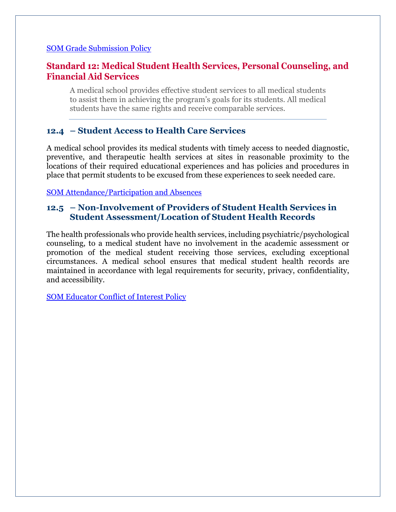#### [SOM Grade Submission Policy](https://intranet.bcm.edu/index.cfm?fuseaction=Policies.Display_Policy&Policy_Number=28.1.01)

#### **Standard 12: Medical Student Health Services, Personal Counseling, and Financial Aid Services**

A medical school provides effective student services to all medical students to assist them in achieving the program's goals for its students. All medical students have the same rights and receive comparable services.

#### **12.4 – Student Access to Health Care Services**

A medical school provides its medical students with timely access to needed diagnostic, preventive, and therapeutic health services at sites in reasonable proximity to the locations of their required educational experiences and has policies and procedures in place that permit students to be excused from these experiences to seek needed care.

[SOM Attendance/Participation and Absences](https://www.bcm.edu/education/schools/medical-school/md-program/student-handbook/academic-program/attendance-and-absences)

#### **12.5 – Non-Involvement of Providers of Student Health Services in Student Assessment/Location of Student Health Records**

The health professionals who provide health services, including psychiatric/psychological counseling, to a medical student have no involvement in the academic assessment or promotion of the medical student receiving those services, excluding exceptional circumstances. A medical school ensures that medical student health records are maintained in accordance with legal requirements for security, privacy, confidentiality, and accessibility.

[SOM Educator Conflict of Interest Policy](https://intranet.bcm.edu/index.cfm?fuseaction=Policies.Display_Policy&Policy_Number=23.2.04)